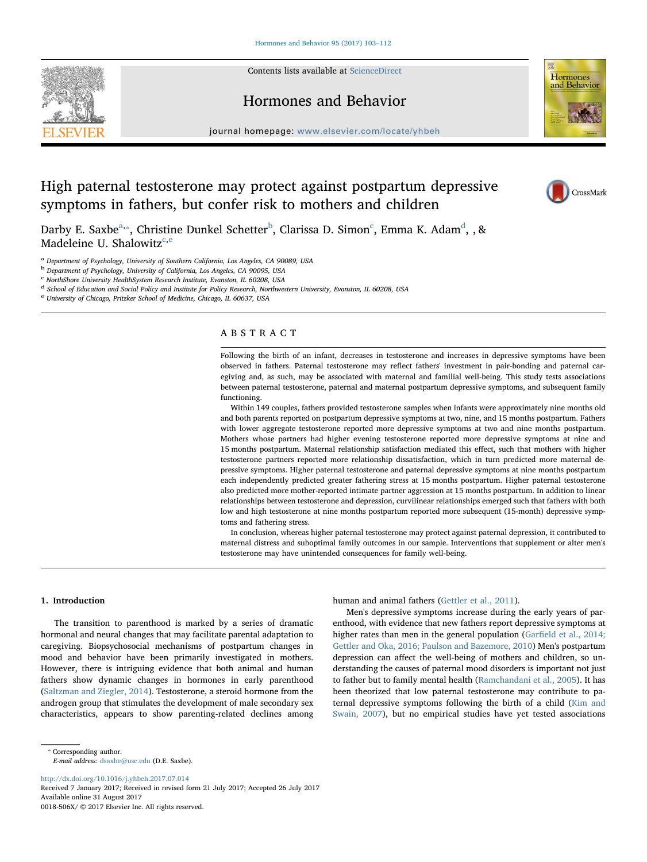

Contents lists available at [ScienceDirect](http://www.sciencedirect.com/science/journal/0018506X)

# Hormones and Behavior



journal homepage: [www.elsevier.com/locate/yhbeh](http://www.elsevier.com/locate/yhbeh)

# High paternal testosterone may protect against postpartum depressive symptoms in fathers, but confer risk to mothers and children



D[a](#page-0-0)r[b](#page-0-2)y E. Saxbe $a_{1*}$ , Christine Dunkel S[c](#page-0-3)hetter $^{\rm b}$ , Clarissa D. Simon $^{\rm c}$ , Emma K. A[d](#page-0-4)am $^{\rm d}$ , , & Madeleine U. Shalowitz<sup>[c](#page-0-3)[,e](#page-0-5)</sup>

<span id="page-0-0"></span><sup>a</sup> Department of Psychology, University of Southern California, Los Angeles, CA 90089, USA

<span id="page-0-2"></span><sup>b</sup> Department of Psychology, University of California, Los Angeles, CA 90095, USA

<span id="page-0-3"></span><sup>c</sup> NorthShore University HealthSystem Research Institute, Evanston, IL 60208, USA

<span id="page-0-4"></span><sup>d</sup> School of Education and Social Policy and Institute for Policy Research, Northwestern University, Evanston, IL 60208, USA

<span id="page-0-5"></span><sup>e</sup> University of Chicago, Pritzker School of Medicine, Chicago, IL 60637, USA

# ABSTRACT

Following the birth of an infant, decreases in testosterone and increases in depressive symptoms have been observed in fathers. Paternal testosterone may reflect fathers' investment in pair-bonding and paternal caregiving and, as such, may be associated with maternal and familial well-being. This study tests associations between paternal testosterone, paternal and maternal postpartum depressive symptoms, and subsequent family functioning.

Within 149 couples, fathers provided testosterone samples when infants were approximately nine months old and both parents reported on postpartum depressive symptoms at two, nine, and 15 months postpartum. Fathers with lower aggregate testosterone reported more depressive symptoms at two and nine months postpartum. Mothers whose partners had higher evening testosterone reported more depressive symptoms at nine and 15 months postpartum. Maternal relationship satisfaction mediated this effect, such that mothers with higher testosterone partners reported more relationship dissatisfaction, which in turn predicted more maternal depressive symptoms. Higher paternal testosterone and paternal depressive symptoms at nine months postpartum each independently predicted greater fathering stress at 15 months postpartum. Higher paternal testosterone also predicted more mother-reported intimate partner aggression at 15 months postpartum. In addition to linear relationships between testosterone and depression, curvilinear relationships emerged such that fathers with both low and high testosterone at nine months postpartum reported more subsequent (15-month) depressive symptoms and fathering stress.

In conclusion, whereas higher paternal testosterone may protect against paternal depression, it contributed to maternal distress and suboptimal family outcomes in our sample. Interventions that supplement or alter men's testosterone may have unintended consequences for family well-being.

# 1. Introduction

The transition to parenthood is marked by a series of dramatic hormonal and neural changes that may facilitate parental adaptation to caregiving. Biopsychosocial mechanisms of postpartum changes in mood and behavior have been primarily investigated in mothers. However, there is intriguing evidence that both animal and human fathers show dynamic changes in hormones in early parenthood ([Saltzman and Ziegler, 2014\)](#page-9-0). Testosterone, a steroid hormone from the androgen group that stimulates the development of male secondary sex characteristics, appears to show parenting-related declines among human and animal fathers [\(Gettler et al., 2011\)](#page-8-0).

Men's depressive symptoms increase during the early years of parenthood, with evidence that new fathers report depressive symptoms at higher rates than men in the general population (Garfi[eld et al., 2014;](#page-8-1) [Gettler and Oka, 2016; Paulson and Bazemore, 2010](#page-8-1)) Men's postpartum depression can affect the well-being of mothers and children, so understanding the causes of paternal mood disorders is important not just to father but to family mental health ([Ramchandani et al., 2005\)](#page-9-1). It has been theorized that low paternal testosterone may contribute to paternal depressive symptoms following the birth of a child ([Kim and](#page-8-2) [Swain, 2007](#page-8-2)), but no empirical studies have yet tested associations

E-mail address: [dsaxbe@usc.edu](mailto:dsaxbe@usc.edu) (D.E. Saxbe).

<http://dx.doi.org/10.1016/j.yhbeh.2017.07.014>

<span id="page-0-1"></span><sup>⁎</sup> Corresponding author.

Received 7 January 2017; Received in revised form 21 July 2017; Accepted 26 July 2017 Available online 31 August 2017 0018-506X/ © 2017 Elsevier Inc. All rights reserved.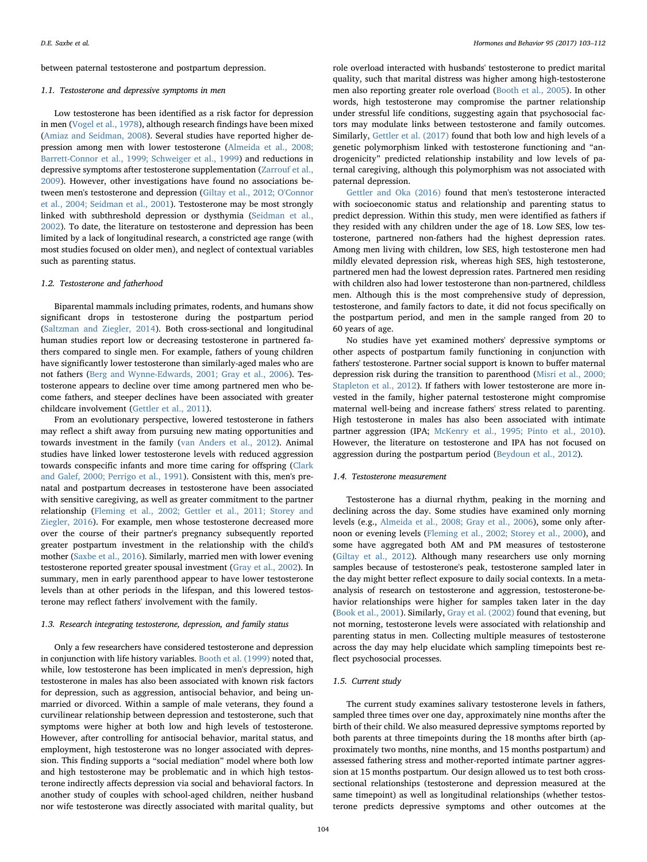between paternal testosterone and postpartum depression.

#### 1.1. Testosterone and depressive symptoms in men

Low testosterone has been identified as a risk factor for depression in men ([Vogel et al., 1978\)](#page-9-2), although research findings have been mixed ([Amiaz and Seidman, 2008](#page-8-3)). Several studies have reported higher depression among men with lower testosterone [\(Almeida et al., 2008;](#page-8-4) [Barrett-Connor et al., 1999; Schweiger et al., 1999](#page-8-4)) and reductions in depressive symptoms after testosterone supplementation ([Zarrouf et al.,](#page-9-3) [2009\)](#page-9-3). However, other investigations have found no associations between men's testosterone and depression ([Giltay et al., 2012; O'Connor](#page-8-5) [et al., 2004; Seidman et al., 2001\)](#page-8-5). Testosterone may be most strongly linked with subthreshold depression or dysthymia [\(Seidman et al.,](#page-9-4) [2002\)](#page-9-4). To date, the literature on testosterone and depression has been limited by a lack of longitudinal research, a constricted age range (with most studies focused on older men), and neglect of contextual variables such as parenting status.

#### 1.2. Testosterone and fatherhood

Biparental mammals including primates, rodents, and humans show significant drops in testosterone during the postpartum period ([Saltzman and Ziegler, 2014](#page-9-0)). Both cross-sectional and longitudinal human studies report low or decreasing testosterone in partnered fathers compared to single men. For example, fathers of young children have significantly lower testosterone than similarly-aged males who are not fathers ([Berg and Wynne-Edwards, 2001; Gray et al., 2006\)](#page-8-6). Testosterone appears to decline over time among partnered men who become fathers, and steeper declines have been associated with greater childcare involvement [\(Gettler et al., 2011\)](#page-8-0).

From an evolutionary perspective, lowered testosterone in fathers may reflect a shift away from pursuing new mating opportunities and towards investment in the family ([van Anders et al., 2012](#page-9-5)). Animal studies have linked lower testosterone levels with reduced aggression towards conspecific infants and more time caring for offspring ([Clark](#page-8-7) [and Galef, 2000; Perrigo et al., 1991\)](#page-8-7). Consistent with this, men's prenatal and postpartum decreases in testosterone have been associated with sensitive caregiving, as well as greater commitment to the partner relationship ([Fleming et al., 2002; Gettler et al., 2011; Storey and](#page-8-8) [Ziegler, 2016](#page-8-8)). For example, men whose testosterone decreased more over the course of their partner's pregnancy subsequently reported greater postpartum investment in the relationship with the child's mother [\(Saxbe et al., 2016](#page-9-6)). Similarly, married men with lower evening testosterone reported greater spousal investment ([Gray et al., 2002\)](#page-8-9). In summary, men in early parenthood appear to have lower testosterone levels than at other periods in the lifespan, and this lowered testosterone may reflect fathers' involvement with the family.

# 1.3. Research integrating testosterone, depression, and family status

Only a few researchers have considered testosterone and depression in conjunction with life history variables. [Booth et al. \(1999\)](#page-8-10) noted that, while, low testosterone has been implicated in men's depression, high testosterone in males has also been associated with known risk factors for depression, such as aggression, antisocial behavior, and being unmarried or divorced. Within a sample of male veterans, they found a curvilinear relationship between depression and testosterone, such that symptoms were higher at both low and high levels of testosterone. However, after controlling for antisocial behavior, marital status, and employment, high testosterone was no longer associated with depression. This finding supports a "social mediation" model where both low and high testosterone may be problematic and in which high testosterone indirectly affects depression via social and behavioral factors. In another study of couples with school-aged children, neither husband nor wife testosterone was directly associated with marital quality, but role overload interacted with husbands' testosterone to predict marital quality, such that marital distress was higher among high-testosterone men also reporting greater role overload [\(Booth et al., 2005](#page-8-11)). In other words, high testosterone may compromise the partner relationship under stressful life conditions, suggesting again that psychosocial factors may modulate links between testosterone and family outcomes. Similarly, [Gettler et al. \(2017\)](#page-8-12) found that both low and high levels of a genetic polymorphism linked with testosterone functioning and "androgenicity" predicted relationship instability and low levels of paternal caregiving, although this polymorphism was not associated with paternal depression.

[Gettler and Oka \(2016\)](#page-8-13) found that men's testosterone interacted with socioeconomic status and relationship and parenting status to predict depression. Within this study, men were identified as fathers if they resided with any children under the age of 18. Low SES, low testosterone, partnered non-fathers had the highest depression rates. Among men living with children, low SES, high testosterone men had mildly elevated depression risk, whereas high SES, high testosterone, partnered men had the lowest depression rates. Partnered men residing with children also had lower testosterone than non-partnered, childless men. Although this is the most comprehensive study of depression, testosterone, and family factors to date, it did not focus specifically on the postpartum period, and men in the sample ranged from 20 to 60 years of age.

No studies have yet examined mothers' depressive symptoms or other aspects of postpartum family functioning in conjunction with fathers' testosterone. Partner social support is known to buffer maternal depression risk during the transition to parenthood [\(Misri et al., 2000;](#page-8-14) [Stapleton et al., 2012\)](#page-8-14). If fathers with lower testosterone are more invested in the family, higher paternal testosterone might compromise maternal well-being and increase fathers' stress related to parenting. High testosterone in males has also been associated with intimate partner aggression (IPA; [McKenry et al., 1995; Pinto et al., 2010](#page-8-15)). However, the literature on testosterone and IPA has not focused on aggression during the postpartum period [\(Beydoun et al., 2012\)](#page-8-16).

# 1.4. Testosterone measurement

Testosterone has a diurnal rhythm, peaking in the morning and declining across the day. Some studies have examined only morning levels (e.g., [Almeida et al., 2008; Gray et al., 2006\)](#page-8-4), some only afternoon or evening levels [\(Fleming et al., 2002; Storey et al., 2000\)](#page-8-8), and some have aggregated both AM and PM measures of testosterone ([Giltay et al., 2012\)](#page-8-5). Although many researchers use only morning samples because of testosterone's peak, testosterone sampled later in the day might better reflect exposure to daily social contexts. In a metaanalysis of research on testosterone and aggression, testosterone-behavior relationships were higher for samples taken later in the day ([Book et al., 2001\)](#page-8-17). Similarly, [Gray et al. \(2002\)](#page-8-9) found that evening, but not morning, testosterone levels were associated with relationship and parenting status in men. Collecting multiple measures of testosterone across the day may help elucidate which sampling timepoints best reflect psychosocial processes.

# 1.5. Current study

The current study examines salivary testosterone levels in fathers, sampled three times over one day, approximately nine months after the birth of their child. We also measured depressive symptoms reported by both parents at three timepoints during the 18 months after birth (approximately two months, nine months, and 15 months postpartum) and assessed fathering stress and mother-reported intimate partner aggression at 15 months postpartum. Our design allowed us to test both crosssectional relationships (testosterone and depression measured at the same timepoint) as well as longitudinal relationships (whether testosterone predicts depressive symptoms and other outcomes at the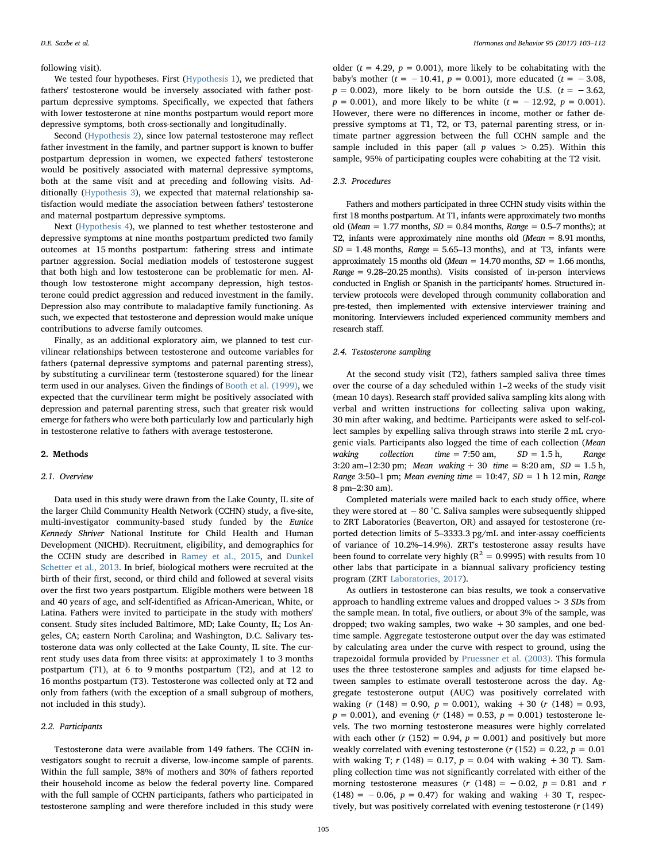### following visit).

We tested four hypotheses. First [\(Hypothesis 1](#page-5-0)), we predicted that fathers' testosterone would be inversely associated with father postpartum depressive symptoms. Specifically, we expected that fathers with lower testosterone at nine months postpartum would report more depressive symptoms, both cross-sectionally and longitudinally.

Second ([Hypothesis 2](#page-5-1)), since low paternal testosterone may reflect father investment in the family, and partner support is known to buffer postpartum depression in women, we expected fathers' testosterone would be positively associated with maternal depressive symptoms, both at the same visit and at preceding and following visits. Additionally ([Hypothesis 3\)](#page-5-2), we expected that maternal relationship satisfaction would mediate the association between fathers' testosterone and maternal postpartum depressive symptoms.

Next ([Hypothesis 4](#page-6-0)), we planned to test whether testosterone and depressive symptoms at nine months postpartum predicted two family outcomes at 15 months postpartum: fathering stress and intimate partner aggression. Social mediation models of testosterone suggest that both high and low testosterone can be problematic for men. Although low testosterone might accompany depression, high testosterone could predict aggression and reduced investment in the family. Depression also may contribute to maladaptive family functioning. As such, we expected that testosterone and depression would make unique contributions to adverse family outcomes.

Finally, as an additional exploratory aim, we planned to test curvilinear relationships between testosterone and outcome variables for fathers (paternal depressive symptoms and paternal parenting stress), by substituting a curvilinear term (testosterone squared) for the linear term used in our analyses. Given the findings of [Booth et al. \(1999\)](#page-8-10), we expected that the curvilinear term might be positively associated with depression and paternal parenting stress, such that greater risk would emerge for fathers who were both particularly low and particularly high in testosterone relative to fathers with average testosterone.

# 2. Methods

# 2.1. Overview

Data used in this study were drawn from the Lake County, IL site of the larger Child Community Health Network (CCHN) study, a five-site, multi-investigator community-based study funded by the Eunice Kennedy Shriver National Institute for Child Health and Human Development (NICHD). Recruitment, eligibility, and demographics for the CCHN study are described in [Ramey et al., 2015,](#page-9-7) and [Dunkel](#page-8-18) [Schetter et al., 2013.](#page-8-18) In brief, biological mothers were recruited at the birth of their first, second, or third child and followed at several visits over the first two years postpartum. Eligible mothers were between 18 and 40 years of age, and self-identified as African-American, White, or Latina. Fathers were invited to participate in the study with mothers' consent. Study sites included Baltimore, MD; Lake County, IL; Los Angeles, CA; eastern North Carolina; and Washington, D.C. Salivary testosterone data was only collected at the Lake County, IL site. The current study uses data from three visits: at approximately 1 to 3 months postpartum (T1), at 6 to 9 months postpartum (T2), and at 12 to 16 months postpartum (T3). Testosterone was collected only at T2 and only from fathers (with the exception of a small subgroup of mothers, not included in this study).

# 2.2. Participants

Testosterone data were available from 149 fathers. The CCHN investigators sought to recruit a diverse, low-income sample of parents. Within the full sample, 38% of mothers and 30% of fathers reported their household income as below the federal poverty line. Compared with the full sample of CCHN participants, fathers who participated in testosterone sampling and were therefore included in this study were

older ( $t = 4.29$ ,  $p = 0.001$ ), more likely to be cohabitating with the baby's mother ( $t = -10.41$ ,  $p = 0.001$ ), more educated ( $t = -3.08$ ,  $p = 0.002$ ), more likely to be born outside the U.S. ( $t = -3.62$ ,  $p = 0.001$ , and more likely to be white  $(t = -12.92, p = 0.001)$ . However, there were no differences in income, mother or father depressive symptoms at T1, T2, or T3, paternal parenting stress, or intimate partner aggression between the full CCHN sample and the sample included in this paper (all  $p$  values  $> 0.25$ ). Within this sample, 95% of participating couples were cohabiting at the T2 visit.

## 2.3. Procedures

Fathers and mothers participated in three CCHN study visits within the first 18 months postpartum. At T1, infants were approximately two months old (Mean = 1.77 months,  $SD = 0.84$  months, Range = 0.5–7 months); at T2, infants were approximately nine months old ( $Mean = 8.91$  months,  $SD = 1.48$  months, Range = 5.65–13 months), and at T3, infants were approximately 15 months old (Mean = 14.70 months,  $SD = 1.66$  months,  $Range = 9.28 - 20.25$  months). Visits consisted of in-person interviews conducted in English or Spanish in the participants' homes. Structured interview protocols were developed through community collaboration and pre-tested, then implemented with extensive interviewer training and monitoring. Interviewers included experienced community members and research staff.

#### 2.4. Testosterone sampling

At the second study visit (T2), fathers sampled saliva three times over the course of a day scheduled within 1–2 weeks of the study visit (mean 10 days). Research staff provided saliva sampling kits along with verbal and written instructions for collecting saliva upon waking, 30 min after waking, and bedtime. Participants were asked to self-collect samples by expelling saliva through straws into sterile 2 mL cryogenic vials. Participants also logged the time of each collection (Mean waking collection time = 7:50 am,  $SD = 1.5$  h, Range 3:20 am–12:30 pm; Mean waking  $+30$  time  $= 8:20$  am,  $SD = 1.5$  h, Range 3:50–1 pm; Mean evening time =  $10:47$ , SD = 1 h 12 min, Range 8 pm–2:30 am).

Completed materials were mailed back to each study office, where they were stored at  $-80$  °C. Saliva samples were subsequently shipped to ZRT Laboratories (Beaverton, OR) and assayed for testosterone (reported detection limits of 5–3333.3 pg/mL and inter-assay coefficients of variance of 10.2%–14.9%). ZRT's testosterone assay results have been found to correlate very highly ( $R^2 = 0.9995$ ) with results from 10 other labs that participate in a biannual salivary proficiency testing program (ZRT [Laboratories, 2017](#page-9-8)).

As outliers in testosterone can bias results, we took a conservative approach to handling extreme values and dropped values > 3 SDs from the sample mean. In total, five outliers, or about 3% of the sample, was dropped; two waking samples, two wake +30 samples, and one bedtime sample. Aggregate testosterone output over the day was estimated by calculating area under the curve with respect to ground, using the trapezoidal formula provided by [Pruessner et al. \(2003\)](#page-9-9). This formula uses the three testosterone samples and adjusts for time elapsed between samples to estimate overall testosterone across the day. Aggregate testosterone output (AUC) was positively correlated with waking  $(r (148) = 0.90, p = 0.001)$ , waking  $+30 (r (148) = 0.93,$  $p = 0.001$ , and evening (r (148) = 0.53,  $p = 0.001$ ) testosterone levels. The two morning testosterone measures were highly correlated with each other  $(r (152) = 0.94, p = 0.001)$  and positively but more weakly correlated with evening testosterone ( $r(152) = 0.22$ ,  $p = 0.01$ with waking T;  $r(148) = 0.17$ ,  $p = 0.04$  with waking  $+30$  T). Sampling collection time was not significantly correlated with either of the morning testosterone measures ( $r$  (148) = -0.02,  $p$  = 0.81 and  $r$  $(148) = -0.06$ ,  $p = 0.47$ ) for waking and waking +30 T, respectively, but was positively correlated with evening testosterone (r (149)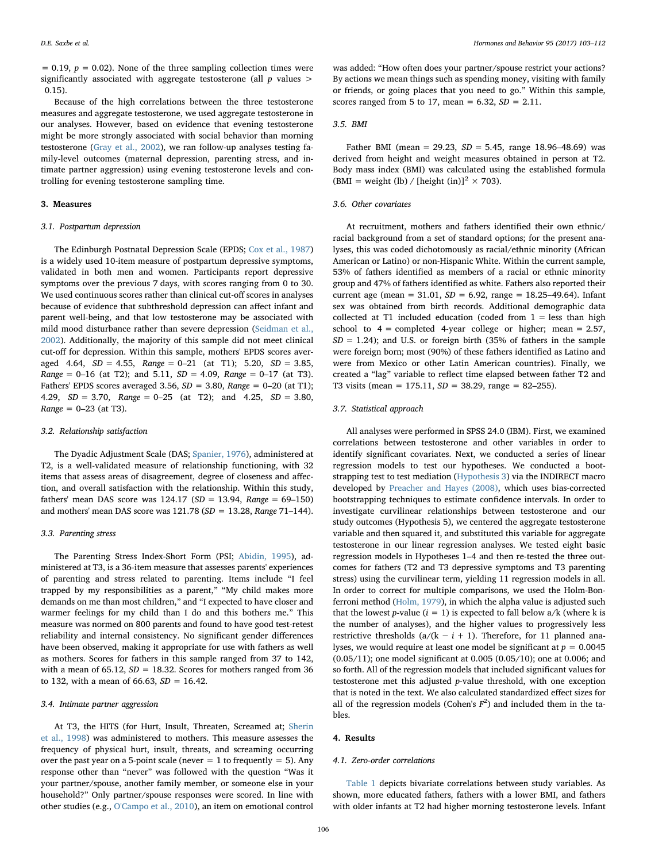$= 0.19$ ,  $p = 0.02$ ). None of the three sampling collection times were significantly associated with aggregate testosterone (all  $p$  values  $>$ 0.15).

Because of the high correlations between the three testosterone measures and aggregate testosterone, we used aggregate testosterone in our analyses. However, based on evidence that evening testosterone might be more strongly associated with social behavior than morning testosterone [\(Gray et al., 2002\)](#page-8-9), we ran follow-up analyses testing family-level outcomes (maternal depression, parenting stress, and intimate partner aggression) using evening testosterone levels and controlling for evening testosterone sampling time.

### 3. Measures

#### 3.1. Postpartum depression

The Edinburgh Postnatal Depression Scale (EPDS; [Cox et al., 1987\)](#page-8-19) is a widely used 10-item measure of postpartum depressive symptoms, validated in both men and women. Participants report depressive symptoms over the previous 7 days, with scores ranging from 0 to 30. We used continuous scores rather than clinical cut-off scores in analyses because of evidence that subthreshold depression can affect infant and parent well-being, and that low testosterone may be associated with mild mood disturbance rather than severe depression [\(Seidman et al.,](#page-9-4) [2002\)](#page-9-4). Additionally, the majority of this sample did not meet clinical cut-off for depression. Within this sample, mothers' EPDS scores averaged 4.64,  $SD = 4.55$ , Range = 0-21 (at T1); 5.20,  $SD = 3.85$ ,  $Range = 0-16$  (at T2); and 5.11,  $SD = 4.09$ ,  $Range = 0-17$  (at T3). Fathers' EPDS scores averaged 3.56,  $SD = 3.80$ , Range = 0-20 (at T1); 4.29, SD = 3.70, Range = 0–25 (at T2); and 4.25, SD = 3.80,  $Range = 0 - 23$  (at T3).

#### 3.2. Relationship satisfaction

The Dyadic Adjustment Scale (DAS; [Spanier, 1976](#page-9-10)), administered at T2, is a well-validated measure of relationship functioning, with 32 items that assess areas of disagreement, degree of closeness and affection, and overall satisfaction with the relationship. Within this study, fathers' mean DAS score was  $124.17$  (SD = 13.94, Range = 69-150) and mothers' mean DAS score was  $121.78$  (SD = 13.28, Range 71-144).

### 3.3. Parenting stress

The Parenting Stress Index-Short Form (PSI; [Abidin, 1995\)](#page-8-20), administered at T3, is a 36-item measure that assesses parents' experiences of parenting and stress related to parenting. Items include "I feel trapped by my responsibilities as a parent," "My child makes more demands on me than most children," and "I expected to have closer and warmer feelings for my child than I do and this bothers me." This measure was normed on 800 parents and found to have good test-retest reliability and internal consistency. No significant gender differences have been observed, making it appropriate for use with fathers as well as mothers. Scores for fathers in this sample ranged from 37 to 142, with a mean of 65.12,  $SD = 18.32$ . Scores for mothers ranged from 36 to 132, with a mean of 66.63,  $SD = 16.42$ .

### 3.4. Intimate partner aggression

At T3, the HITS (for Hurt, Insult, Threaten, Screamed at; [Sherin](#page-9-11) [et al., 1998](#page-9-11)) was administered to mothers. This measure assesses the frequency of physical hurt, insult, threats, and screaming occurring over the past year on a 5-point scale (never  $= 1$  to frequently  $= 5$ ). Any response other than "never" was followed with the question "Was it your partner/spouse, another family member, or someone else in your household?" Only partner/spouse responses were scored. In line with other studies (e.g., [O'Campo et al., 2010\)](#page-8-21), an item on emotional control

# 3.5. BMI

Father BMI (mean = 29.23,  $SD = 5.45$ , range 18.96-48.69) was derived from height and weight measures obtained in person at T2. Body mass index (BMI) was calculated using the established formula (BMI = weight (lb) / [height (in)]<sup>2</sup>  $\times$  703).

## 3.6. Other covariates

At recruitment, mothers and fathers identified their own ethnic/ racial background from a set of standard options; for the present analyses, this was coded dichotomously as racial/ethnic minority (African American or Latino) or non-Hispanic White. Within the current sample, 53% of fathers identified as members of a racial or ethnic minority group and 47% of fathers identified as white. Fathers also reported their current age (mean = 31.01,  $SD = 6.92$ , range = 18.25–49.64). Infant sex was obtained from birth records. Additional demographic data collected at T1 included education (coded from  $1 =$  less than high school to  $4 =$  completed 4-year college or higher; mean = 2.57,  $SD = 1.24$ ); and U.S. or foreign birth (35% of fathers in the sample were foreign born; most (90%) of these fathers identified as Latino and were from Mexico or other Latin American countries). Finally, we created a "lag" variable to reflect time elapsed between father T2 and T3 visits (mean = 175.11,  $SD = 38.29$ , range = 82-255).

# 3.7. Statistical approach

All analyses were performed in SPSS 24.0 (IBM). First, we examined correlations between testosterone and other variables in order to identify significant covariates. Next, we conducted a series of linear regression models to test our hypotheses. We conducted a bootstrapping test to test mediation ([Hypothesis 3](#page-5-2)) via the INDIRECT macro developed by [Preacher and Hayes \(2008\),](#page-9-12) which uses bias-corrected bootstrapping techniques to estimate confidence intervals. In order to investigate curvilinear relationships between testosterone and our study outcomes (Hypothesis 5), we centered the aggregate testosterone variable and then squared it, and substituted this variable for aggregate testosterone in our linear regression analyses. We tested eight basic regression models in Hypotheses 1–4 and then re-tested the three outcomes for fathers (T2 and T3 depressive symptoms and T3 parenting stress) using the curvilinear term, yielding 11 regression models in all. In order to correct for multiple comparisons, we used the Holm-Bonferroni method ([Holm, 1979](#page-8-22)), in which the alpha value is adjusted such that the lowest p-value ( $i = 1$ ) is expected to fall below  $a/k$  (where k is the number of analyses), and the higher values to progressively less restrictive thresholds (a/(k – i + 1). Therefore, for 11 planned analyses, we would require at least one model be significant at  $p = 0.0045$ (0.05/11); one model significant at 0.005 (0.05/10); one at 0.006; and so forth. All of the regression models that included significant values for testosterone met this adjusted p-value threshold, with one exception that is noted in the text. We also calculated standardized effect sizes for all of the regression models (Cohen's  $F^2$ ) and included them in the tables.

# 4. Results

#### 4.1. Zero-order correlations

[Table 1](#page-4-0) depicts bivariate correlations between study variables. As shown, more educated fathers, fathers with a lower BMI, and fathers with older infants at T2 had higher morning testosterone levels. Infant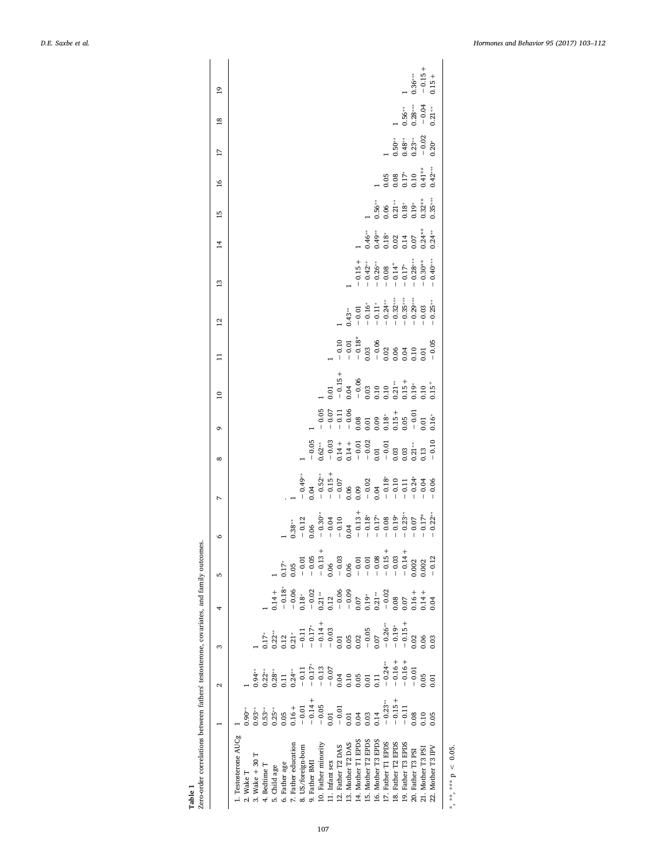<span id="page-4-0"></span>

|                       |                |           |                   |                      | ю | $\circ$ | $\overline{a}$                                                                                                                                                                                                                                                                                                                                                                                                                                                                                        | $\infty$                                                                                                                                                                                                                                                                                                                                           | ō                                                                                                                                                                                                                                                                                                                                           | $\overline{a}$                                                                                                                 | $\Xi$ | $\overline{12}$                                                                                          | 13                                                                                                     | $\overline{14}$                                                                                                                                                                                                                                                                                                                                      | 15                                                                        | $\frac{8}{1}$                                                                         | $\overline{17}$                             | $\overline{8}$                                                                          | $\overline{0}$                  |
|-----------------------|----------------|-----------|-------------------|----------------------|---|---------|-------------------------------------------------------------------------------------------------------------------------------------------------------------------------------------------------------------------------------------------------------------------------------------------------------------------------------------------------------------------------------------------------------------------------------------------------------------------------------------------------------|----------------------------------------------------------------------------------------------------------------------------------------------------------------------------------------------------------------------------------------------------------------------------------------------------------------------------------------------------|---------------------------------------------------------------------------------------------------------------------------------------------------------------------------------------------------------------------------------------------------------------------------------------------------------------------------------------------|--------------------------------------------------------------------------------------------------------------------------------|-------|----------------------------------------------------------------------------------------------------------|--------------------------------------------------------------------------------------------------------|------------------------------------------------------------------------------------------------------------------------------------------------------------------------------------------------------------------------------------------------------------------------------------------------------------------------------------------------------|---------------------------------------------------------------------------|---------------------------------------------------------------------------------------|---------------------------------------------|-----------------------------------------------------------------------------------------|---------------------------------|
| 1. Testosterone AUCg  |                |           |                   |                      |   |         |                                                                                                                                                                                                                                                                                                                                                                                                                                                                                                       |                                                                                                                                                                                                                                                                                                                                                    |                                                                                                                                                                                                                                                                                                                                             |                                                                                                                                |       |                                                                                                          |                                                                                                        |                                                                                                                                                                                                                                                                                                                                                      |                                                                           |                                                                                       |                                             |                                                                                         |                                 |
| 2. Wake T             | $0.90**$       |           |                   |                      |   |         |                                                                                                                                                                                                                                                                                                                                                                                                                                                                                                       |                                                                                                                                                                                                                                                                                                                                                    |                                                                                                                                                                                                                                                                                                                                             |                                                                                                                                |       |                                                                                                          |                                                                                                        |                                                                                                                                                                                                                                                                                                                                                      |                                                                           |                                                                                       |                                             |                                                                                         |                                 |
| 3. Wake + 30 T        | $0.93***$      | $0.94***$ |                   |                      |   |         |                                                                                                                                                                                                                                                                                                                                                                                                                                                                                                       |                                                                                                                                                                                                                                                                                                                                                    |                                                                                                                                                                                                                                                                                                                                             |                                                                                                                                |       |                                                                                                          |                                                                                                        |                                                                                                                                                                                                                                                                                                                                                      |                                                                           |                                                                                       |                                             |                                                                                         |                                 |
| 4. Bedtime T          |                |           |                   |                      |   |         |                                                                                                                                                                                                                                                                                                                                                                                                                                                                                                       |                                                                                                                                                                                                                                                                                                                                                    |                                                                                                                                                                                                                                                                                                                                             |                                                                                                                                |       |                                                                                                          |                                                                                                        |                                                                                                                                                                                                                                                                                                                                                      |                                                                           |                                                                                       |                                             |                                                                                         |                                 |
| 5. Child age          |                |           |                   |                      |   |         |                                                                                                                                                                                                                                                                                                                                                                                                                                                                                                       |                                                                                                                                                                                                                                                                                                                                                    |                                                                                                                                                                                                                                                                                                                                             |                                                                                                                                |       |                                                                                                          |                                                                                                        |                                                                                                                                                                                                                                                                                                                                                      |                                                                           |                                                                                       |                                             |                                                                                         |                                 |
| 6. Father age         |                |           |                   |                      |   |         |                                                                                                                                                                                                                                                                                                                                                                                                                                                                                                       |                                                                                                                                                                                                                                                                                                                                                    |                                                                                                                                                                                                                                                                                                                                             |                                                                                                                                |       |                                                                                                          |                                                                                                        |                                                                                                                                                                                                                                                                                                                                                      |                                                                           |                                                                                       |                                             |                                                                                         |                                 |
| 7. Father education   |                |           |                   |                      |   |         |                                                                                                                                                                                                                                                                                                                                                                                                                                                                                                       |                                                                                                                                                                                                                                                                                                                                                    |                                                                                                                                                                                                                                                                                                                                             |                                                                                                                                |       |                                                                                                          |                                                                                                        |                                                                                                                                                                                                                                                                                                                                                      |                                                                           |                                                                                       |                                             |                                                                                         |                                 |
| 8. US/foreign-born    |                |           |                   |                      |   |         |                                                                                                                                                                                                                                                                                                                                                                                                                                                                                                       |                                                                                                                                                                                                                                                                                                                                                    |                                                                                                                                                                                                                                                                                                                                             |                                                                                                                                |       |                                                                                                          |                                                                                                        |                                                                                                                                                                                                                                                                                                                                                      |                                                                           |                                                                                       |                                             |                                                                                         |                                 |
| 9. Father BMI         |                |           |                   |                      |   |         |                                                                                                                                                                                                                                                                                                                                                                                                                                                                                                       |                                                                                                                                                                                                                                                                                                                                                    |                                                                                                                                                                                                                                                                                                                                             |                                                                                                                                |       |                                                                                                          |                                                                                                        |                                                                                                                                                                                                                                                                                                                                                      |                                                                           |                                                                                       |                                             |                                                                                         |                                 |
| 10. Father minority   |                |           |                   |                      |   |         |                                                                                                                                                                                                                                                                                                                                                                                                                                                                                                       |                                                                                                                                                                                                                                                                                                                                                    |                                                                                                                                                                                                                                                                                                                                             |                                                                                                                                |       |                                                                                                          |                                                                                                        |                                                                                                                                                                                                                                                                                                                                                      |                                                                           |                                                                                       |                                             |                                                                                         |                                 |
| 11. Infant sex        |                |           |                   |                      |   |         |                                                                                                                                                                                                                                                                                                                                                                                                                                                                                                       |                                                                                                                                                                                                                                                                                                                                                    |                                                                                                                                                                                                                                                                                                                                             |                                                                                                                                |       |                                                                                                          |                                                                                                        |                                                                                                                                                                                                                                                                                                                                                      |                                                                           |                                                                                       |                                             |                                                                                         |                                 |
| 12. Father T2 DAS     |                |           |                   |                      |   |         |                                                                                                                                                                                                                                                                                                                                                                                                                                                                                                       |                                                                                                                                                                                                                                                                                                                                                    |                                                                                                                                                                                                                                                                                                                                             |                                                                                                                                |       |                                                                                                          |                                                                                                        |                                                                                                                                                                                                                                                                                                                                                      |                                                                           |                                                                                       |                                             |                                                                                         |                                 |
| 13. Mother T2 DAS     |                |           |                   |                      |   |         |                                                                                                                                                                                                                                                                                                                                                                                                                                                                                                       |                                                                                                                                                                                                                                                                                                                                                    |                                                                                                                                                                                                                                                                                                                                             |                                                                                                                                |       |                                                                                                          |                                                                                                        |                                                                                                                                                                                                                                                                                                                                                      |                                                                           |                                                                                       |                                             |                                                                                         |                                 |
| 14. Mother T1 EPDS    |                |           |                   |                      |   |         |                                                                                                                                                                                                                                                                                                                                                                                                                                                                                                       |                                                                                                                                                                                                                                                                                                                                                    |                                                                                                                                                                                                                                                                                                                                             |                                                                                                                                |       |                                                                                                          |                                                                                                        |                                                                                                                                                                                                                                                                                                                                                      |                                                                           |                                                                                       |                                             |                                                                                         |                                 |
| 15. Mother T2 EPDS    |                |           |                   |                      |   |         | $\begin{array}{cccccccccccccc} \mathring{\mathbb{S}}_{3} & \mathring{\mathbb{S}}_{3} & \mathring{\mathbb{S}}_{1} & \mathring{\mathbb{S}}_{1} & \mathring{\mathbb{S}}_{2} & \mathring{\mathbb{S}}_{3} & \mathring{\mathbb{S}}_{4} & \mathring{\mathbb{S}}_{5} & \mathring{\mathbb{S}}_{6} & \mathring{\mathbb{S}}_{7} & \mathring{\mathbb{S}}_{8} & \mathring{\mathbb{S}}_{9} & \mathring{\mathbb{S}}_{1} & \mathring{\mathbb{S}}_{1} & \mathring{\mathbb{S}}_{1} & \mathring{\mathbb{S}}_{1} & \math$ | $\begin{array}{r} -0.05 \\ -0.62^{*\ast} \\ -0.03 \\ -0.14 \\ -0.01 \\ -0.03 \\ -0.03 \\ -0.03 \\ -0.03 \\ -0.03 \\ -0.03 \\ -0.13 \\ -0.10 \\ -0.10 \\ -0.10 \\ -0.10 \\ -0.10 \\ -0.10 \\ -0.10 \\ -0.10 \\ -0.10 \\ -0.10 \\ -0.10 \\ -0.10 \\ -0.10 \\ -0.10 \\ -0.10 \\ -0.10 \\ -0.10 \\ -0.10 \\ -0.10 \\ -0.10 \\ -0.10 \\ -0.10 \\ -0.10$ | $\begin{array}{r} -0.05 \\ -0.071 \\ -0.08 \\ -0.08 \\ 0.01 \\ 0.000 \\ -0.000 \\ 0.01 \\ -0.000 \\ -0.01 \\ -0.000 \\ -0.01 \\ -0.01 \\ -0.01 \\ -0.01 \\ -0.01 \\ -0.01 \\ -0.01 \\ -0.01 \\ -0.01 \\ -0.01 \\ -0.01 \\ -0.01 \\ -0.01 \\ -0.01 \\ -0.01 \\ -0.01 \\ -0.01 \\ -0.01 \\ -0.01 \\ -0.01 \\ -0.01 \\ -0.01 \\ -0.01 \\ -0.0$ | $\begin{array}{l} \n 1.01 \\  -0.15 \\  -0.04 \\  -0.03 \\  0.10 \\  0.11 \\  0.21 \\  0.11 \\  0.19 \\  0.19 \\  \end{array}$ |       | 0.43**<br>$-0.01$<br>$-0.16$ **<br>$-0.11$ **<br>$-0.24$ ***<br>$-0.32$ ***<br>$-0.35$ ***<br>$-0.39$ ** | $-0.15 + 0.42$<br>$-0.26$<br>$-0.26$<br>$-0.36$<br>$-0.17$<br>$-0.28$<br>$-0.36$<br>$-0.49$<br>$-0.49$ | $\frac{1}{1}$<br>$\frac{1}{1}$<br>$\frac{1}{1}$<br>$\frac{1}{1}$<br>$\frac{1}{1}$<br>$\frac{1}{1}$<br>$\frac{1}{1}$<br>$\frac{1}{1}$<br>$\frac{1}{1}$<br>$\frac{1}{1}$<br>$\frac{1}{1}$<br>$\frac{1}{1}$<br>$\frac{1}{1}$<br>$\frac{1}{1}$<br>$\frac{1}{1}$<br>$\frac{1}{1}$<br>$\frac{1}{1}$<br>$\frac{1}{1}$<br>$\frac{1}{1}$<br>$\frac{1}{1}$<br> |                                                                           |                                                                                       |                                             |                                                                                         |                                 |
| 16. Mother T3 EPDS    |                |           |                   |                      |   |         |                                                                                                                                                                                                                                                                                                                                                                                                                                                                                                       |                                                                                                                                                                                                                                                                                                                                                    |                                                                                                                                                                                                                                                                                                                                             |                                                                                                                                |       |                                                                                                          |                                                                                                        |                                                                                                                                                                                                                                                                                                                                                      |                                                                           |                                                                                       |                                             |                                                                                         |                                 |
| 17. Father T1 EPDS    |                |           |                   |                      |   |         |                                                                                                                                                                                                                                                                                                                                                                                                                                                                                                       |                                                                                                                                                                                                                                                                                                                                                    |                                                                                                                                                                                                                                                                                                                                             |                                                                                                                                |       |                                                                                                          |                                                                                                        |                                                                                                                                                                                                                                                                                                                                                      |                                                                           |                                                                                       |                                             |                                                                                         |                                 |
| 18. Father T2 EPDS    |                |           |                   |                      |   |         |                                                                                                                                                                                                                                                                                                                                                                                                                                                                                                       |                                                                                                                                                                                                                                                                                                                                                    |                                                                                                                                                                                                                                                                                                                                             |                                                                                                                                |       |                                                                                                          |                                                                                                        |                                                                                                                                                                                                                                                                                                                                                      |                                                                           |                                                                                       |                                             |                                                                                         |                                 |
| 19. Father T3 EPDS    |                |           |                   |                      |   |         |                                                                                                                                                                                                                                                                                                                                                                                                                                                                                                       |                                                                                                                                                                                                                                                                                                                                                    |                                                                                                                                                                                                                                                                                                                                             |                                                                                                                                |       |                                                                                                          |                                                                                                        |                                                                                                                                                                                                                                                                                                                                                      | $0.56$ **<br>$0.06$<br>$0.21$ **<br>$0.18$ **<br>$0.32$ ***<br>$0.35$ *** | $\begin{array}{c} 0.05 \\ 0.08 \\ 0.17 \\ 0.10 \\ 0.41 \\ 0.42 \\ \vdots \end{array}$ | $1$<br>0.50**<br>0.48**<br>0.23**<br>- 0.02 | $\begin{array}{c} 1 \\ 1 \\ 0.56^{***} \\ 0.28^{***} \\ -0.04 \\ 0.21^{**} \end{array}$ |                                 |
| 20. Father T3 PSI     |                |           | $\frac{2}{3}$ .03 | $3.14 +$<br>$3.14 +$ |   |         |                                                                                                                                                                                                                                                                                                                                                                                                                                                                                                       |                                                                                                                                                                                                                                                                                                                                                    |                                                                                                                                                                                                                                                                                                                                             |                                                                                                                                |       |                                                                                                          |                                                                                                        |                                                                                                                                                                                                                                                                                                                                                      |                                                                           |                                                                                       |                                             |                                                                                         | $0.36***$<br>- 0.15 +<br>0.15 + |
| 21. Mother T3 PSI     | $0.08$<br>0.05 |           |                   |                      |   |         |                                                                                                                                                                                                                                                                                                                                                                                                                                                                                                       |                                                                                                                                                                                                                                                                                                                                                    |                                                                                                                                                                                                                                                                                                                                             |                                                                                                                                |       |                                                                                                          |                                                                                                        |                                                                                                                                                                                                                                                                                                                                                      |                                                                           |                                                                                       |                                             |                                                                                         |                                 |
| 22. Mother T3 IPV     |                |           |                   |                      |   |         |                                                                                                                                                                                                                                                                                                                                                                                                                                                                                                       |                                                                                                                                                                                                                                                                                                                                                    |                                                                                                                                                                                                                                                                                                                                             |                                                                                                                                |       |                                                                                                          |                                                                                                        |                                                                                                                                                                                                                                                                                                                                                      |                                                                           |                                                                                       |                                             |                                                                                         |                                 |
| *, **, *** $p < 0.05$ |                |           |                   |                      |   |         |                                                                                                                                                                                                                                                                                                                                                                                                                                                                                                       |                                                                                                                                                                                                                                                                                                                                                    |                                                                                                                                                                                                                                                                                                                                             |                                                                                                                                |       |                                                                                                          |                                                                                                        |                                                                                                                                                                                                                                                                                                                                                      |                                                                           |                                                                                       |                                             |                                                                                         |                                 |

Table 1 <br>Zero-order correlations between fathers' testosterone, covariates, and family outcomes. Zero-order correlations between fathers' testosterone, covariates, and family outcomes.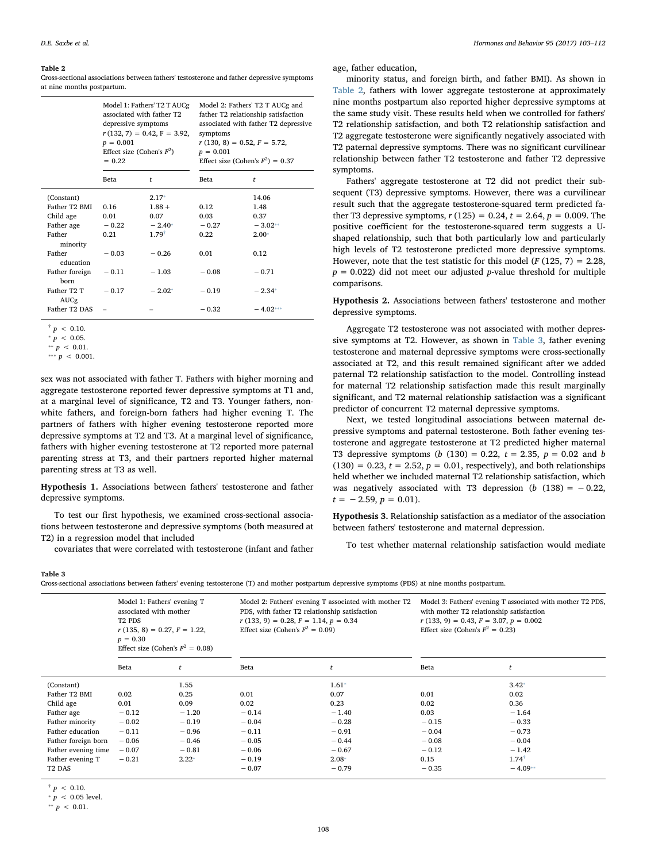#### <span id="page-5-3"></span>Table 2

Cross-sectional associations between fathers' testosterone and father depressive symptoms at nine months postpartum.

|                                                                                                            | depressive symptoms<br>$p = 0.001$<br>$= 0.22$ | Model 1: Fathers' T2 T AUCg<br>associated with father T2<br>$r(132, 7) = 0.42, F = 3.92,$<br>Effect size (Cohen's $F^2$ ) | Model 2: Fathers' T2 T AUCg and<br>father T2 relationship satisfaction<br>associated with father T2 depressive<br>symptoms<br>$r(130, 8) = 0.52, F = 5.72,$<br>$p = 0.001$<br>Effect size (Cohen's $F^2$ ) = 0.37 |                                                       |  |
|------------------------------------------------------------------------------------------------------------|------------------------------------------------|---------------------------------------------------------------------------------------------------------------------------|-------------------------------------------------------------------------------------------------------------------------------------------------------------------------------------------------------------------|-------------------------------------------------------|--|
|                                                                                                            | Beta                                           | t                                                                                                                         | Beta                                                                                                                                                                                                              | t                                                     |  |
| (Constant)<br>Father T2 BMI<br>Child age<br>Father age<br>Father<br>minority<br>Father                     | 0.16<br>0.01<br>$-0.22$<br>0.21<br>$-0.03$     | $2.17*$<br>$1.88 +$<br>0.07<br>$-2.40*$<br>$1.79^{+}$<br>$-0.26$                                                          | 0.12<br>0.03<br>$-0.27$<br>0.22<br>0.01                                                                                                                                                                           | 14.06<br>1.48<br>0.37<br>$-3.02**$<br>$2.00*$<br>0.12 |  |
| education<br>Father foreign<br>born<br>Father T <sub>2</sub> T<br><b>AUCg</b><br>Father T <sub>2</sub> DAS | $-0.11$<br>$-0.17$                             | $-1.03$<br>$-2.02*$                                                                                                       | $-0.08$<br>$-0.19$<br>$-0.32$                                                                                                                                                                                     | $-0.71$<br>$-2.34*$<br>$-4.02***$                     |  |

<span id="page-5-7"></span> $\frac{1}{p}$  < 0.10.

<span id="page-5-5"></span> $p < 0.05$ .

<span id="page-5-8"></span><span id="page-5-6"></span>\*\*  $p < 0.01$ . \*\*\*  $p \, < \, 0.001$ .

sex was not associated with father T. Fathers with higher morning and aggregate testosterone reported fewer depressive symptoms at T1 and, at a marginal level of significance, T2 and T3. Younger fathers, nonwhite fathers, and foreign-born fathers had higher evening T. The partners of fathers with higher evening testosterone reported more depressive symptoms at T2 and T3. At a marginal level of significance, fathers with higher evening testosterone at T2 reported more paternal parenting stress at T3, and their partners reported higher maternal parenting stress at T3 as well.

<span id="page-5-0"></span>Hypothesis 1. Associations between fathers' testosterone and father depressive symptoms.

To test our first hypothesis, we examined cross-sectional associations between testosterone and depressive symptoms (both measured at T2) in a regression model that included

covariates that were correlated with testosterone (infant and father

age, father education,

minority status, and foreign birth, and father BMI). As shown in [Table 2](#page-5-3), fathers with lower aggregate testosterone at approximately nine months postpartum also reported higher depressive symptoms at the same study visit. These results held when we controlled for fathers' T2 relationship satisfaction, and both T2 relationship satisfaction and T2 aggregate testosterone were significantly negatively associated with T2 paternal depressive symptoms. There was no significant curvilinear relationship between father T2 testosterone and father T2 depressive symptoms.

Fathers' aggregate testosterone at T2 did not predict their subsequent (T3) depressive symptoms. However, there was a curvilinear result such that the aggregate testosterone-squared term predicted father T3 depressive symptoms,  $r(125) = 0.24$ ,  $t = 2.64$ ,  $p = 0.009$ . The positive coefficient for the testosterone-squared term suggests a Ushaped relationship, such that both particularly low and particularly high levels of T2 testosterone predicted more depressive symptoms. However, note that the test statistic for this model ( $F(125, 7) = 2.28$ ,  $p = 0.022$ ) did not meet our adjusted p-value threshold for multiple comparisons.

<span id="page-5-1"></span>Hypothesis 2. Associations between fathers' testosterone and mother depressive symptoms.

Aggregate T2 testosterone was not associated with mother depressive symptoms at T2. However, as shown in [Table 3,](#page-5-4) father evening testosterone and maternal depressive symptoms were cross-sectionally associated at T2, and this result remained significant after we added paternal T2 relationship satisfaction to the model. Controlling instead for maternal T2 relationship satisfaction made this result marginally significant, and T2 maternal relationship satisfaction was a significant predictor of concurrent T2 maternal depressive symptoms.

Next, we tested longitudinal associations between maternal depressive symptoms and paternal testosterone. Both father evening testosterone and aggregate testosterone at T2 predicted higher maternal T3 depressive symptoms (b  $(130) = 0.22$ ,  $t = 2.35$ ,  $p = 0.02$  and b  $(130) = 0.23$ ,  $t = 2.52$ ,  $p = 0.01$ , respectively), and both relationships held whether we included maternal T2 relationship satisfaction, which was negatively associated with T3 depression ( $b$  (138) = -0.22,  $t = -2.59, p = 0.01$ .

<span id="page-5-2"></span>Hypothesis 3. Relationship satisfaction as a mediator of the association between fathers' testosterone and maternal depression.

To test whether maternal relationship satisfaction would mediate

<span id="page-5-4"></span>Table 3

Cross-sectional associations between fathers' evening testosterone (T) and mother postpartum depressive symptoms (PDS) at nine months postpartum.

|                     | associated with mother<br>T <sub>2</sub> P <sub>DS</sub><br>$p = 0.30$ | Model 1: Fathers' evening T<br>$r(135, 8) = 0.27, F = 1.22,$<br>Effect size (Cohen's $F^2 = 0.08$ ) | Model 2: Fathers' evening T associated with mother T2<br>PDS, with father T2 relationship satisfaction<br>$r(133, 9) = 0.28, F = 1.14, p = 0.34$<br>Effect size (Cohen's $F^2 = 0.09$ ) |         | Model 3: Fathers' evening T associated with mother T2 PDS,<br>with mother T2 relationship satisfaction<br>$r(133, 9) = 0.43, F = 3.07, p = 0.002$<br>Effect size (Cohen's $F^2 = 0.23$ ) |                  |
|---------------------|------------------------------------------------------------------------|-----------------------------------------------------------------------------------------------------|-----------------------------------------------------------------------------------------------------------------------------------------------------------------------------------------|---------|------------------------------------------------------------------------------------------------------------------------------------------------------------------------------------------|------------------|
|                     | Beta                                                                   | t                                                                                                   | Beta                                                                                                                                                                                    | t       | Beta                                                                                                                                                                                     |                  |
| (Constant)          |                                                                        | 1.55                                                                                                |                                                                                                                                                                                         | $1.61*$ |                                                                                                                                                                                          | $3.42*$          |
| Father T2 BMI       | 0.02                                                                   | 0.25                                                                                                | 0.01                                                                                                                                                                                    | 0.07    | 0.01                                                                                                                                                                                     | 0.02             |
| Child age           | 0.01                                                                   | 0.09                                                                                                | 0.02                                                                                                                                                                                    | 0.23    | 0.02                                                                                                                                                                                     | 0.36             |
| Father age          | $-0.12$                                                                | $-1.20$                                                                                             | $-0.14$                                                                                                                                                                                 | $-1.40$ | 0.03                                                                                                                                                                                     | $-1.64$          |
| Father minority     | $-0.02$                                                                | $-0.19$                                                                                             | $-0.04$                                                                                                                                                                                 | $-0.28$ | $-0.15$                                                                                                                                                                                  | $-0.33$          |
| Father education    | $-0.11$                                                                | $-0.96$                                                                                             | $-0.11$                                                                                                                                                                                 | $-0.91$ | $-0.04$                                                                                                                                                                                  | $-0.73$          |
| Father foreign born | $-0.06$                                                                | $-0.46$                                                                                             | $-0.05$                                                                                                                                                                                 | $-0.44$ | $-0.08$                                                                                                                                                                                  | $-0.04$          |
| Father evening time | $-0.07$                                                                | $-0.81$                                                                                             | $-0.06$                                                                                                                                                                                 | $-0.67$ | $-0.12$                                                                                                                                                                                  | $-1.42$          |
| Father evening T    | $-0.21$                                                                | $2.22*$                                                                                             | $-0.19$                                                                                                                                                                                 | $2.08*$ | 0.15                                                                                                                                                                                     | $1.74^{\dagger}$ |
| T <sub>2</sub> DAS  |                                                                        |                                                                                                     | $-0.07$                                                                                                                                                                                 | $-0.79$ | $-0.35$                                                                                                                                                                                  | $-4.09**$        |
|                     |                                                                        |                                                                                                     |                                                                                                                                                                                         |         |                                                                                                                                                                                          |                  |

<span id="page-5-10"></span> $\frac{+}{p}$  < 0.10.

<span id="page-5-9"></span> $p < 0.05$  level.

<span id="page-5-11"></span> $*$  *p* < 0.01.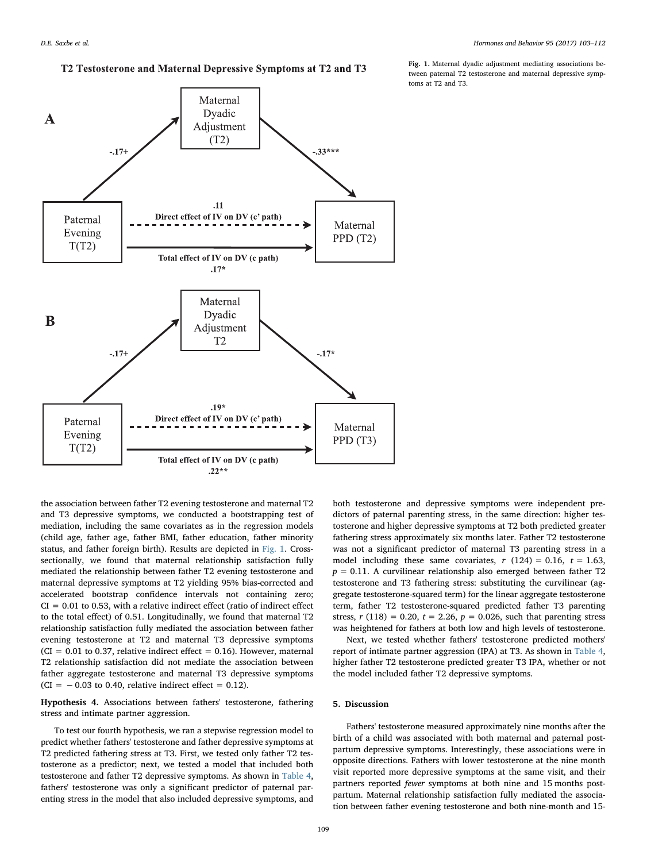# T2 Testosterone and Maternal Depressive Symptoms at T2 and T3

<span id="page-6-1"></span>

the association between father T2 evening testosterone and maternal T2 and T3 depressive symptoms, we conducted a bootstrapping test of mediation, including the same covariates as in the regression models (child age, father age, father BMI, father education, father minority status, and father foreign birth). Results are depicted in [Fig. 1](#page-6-1). Crosssectionally, we found that maternal relationship satisfaction fully mediated the relationship between father T2 evening testosterone and maternal depressive symptoms at T2 yielding 95% bias-corrected and accelerated bootstrap confidence intervals not containing zero;  $CI = 0.01$  to 0.53, with a relative indirect effect (ratio of indirect effect to the total effect) of 0.51. Longitudinally, we found that maternal T2 relationship satisfaction fully mediated the association between father evening testosterone at T2 and maternal T3 depressive symptoms  $(CI = 0.01$  to 0.37, relative indirect effect = 0.16). However, maternal T2 relationship satisfaction did not mediate the association between father aggregate testosterone and maternal T3 depressive symptoms  $(CI = -0.03$  to 0.40, relative indirect effect = 0.12).

<span id="page-6-0"></span>Hypothesis 4. Associations between fathers' testosterone, fathering stress and intimate partner aggression.

To test our fourth hypothesis, we ran a stepwise regression model to predict whether fathers' testosterone and father depressive symptoms at T2 predicted fathering stress at T3. First, we tested only father T2 testosterone as a predictor; next, we tested a model that included both testosterone and father T2 depressive symptoms. As shown in [Table 4](#page-7-0), fathers' testosterone was only a significant predictor of paternal parenting stress in the model that also included depressive symptoms, and

Fig. 1. Maternal dyadic adjustment mediating associations between paternal T2 testosterone and maternal depressive symptoms at T2 and T3.

fathering stress approximately six months later. Father T2 testosterone was not a significant predictor of maternal T3 parenting stress in a model including these same covariates,  $r(124) = 0.16$ ,  $t = 1.63$ ,  $p = 0.11$ . A curvilinear relationship also emerged between father T2 testosterone and T3 fathering stress: substituting the curvilinear (aggregate testosterone-squared term) for the linear aggregate testosterone term, father T2 testosterone-squared predicted father T3 parenting stress,  $r(118) = 0.20$ ,  $t = 2.26$ ,  $p = 0.026$ , such that parenting stress was heightened for fathers at both low and high levels of testosterone. Next, we tested whether fathers' testosterone predicted mothers' report of intimate partner aggression (IPA) at T3. As shown in [Table 4](#page-7-0),

higher father T2 testosterone predicted greater T3 IPA, whether or not

the model included father T2 depressive symptoms.

both testosterone and depressive symptoms were independent predictors of paternal parenting stress, in the same direction: higher testosterone and higher depressive symptoms at T2 both predicted greater

5. Discussion

Fathers' testosterone measured approximately nine months after the birth of a child was associated with both maternal and paternal postpartum depressive symptoms. Interestingly, these associations were in opposite directions. Fathers with lower testosterone at the nine month visit reported more depressive symptoms at the same visit, and their partners reported fewer symptoms at both nine and 15 months postpartum. Maternal relationship satisfaction fully mediated the association between father evening testosterone and both nine-month and 15-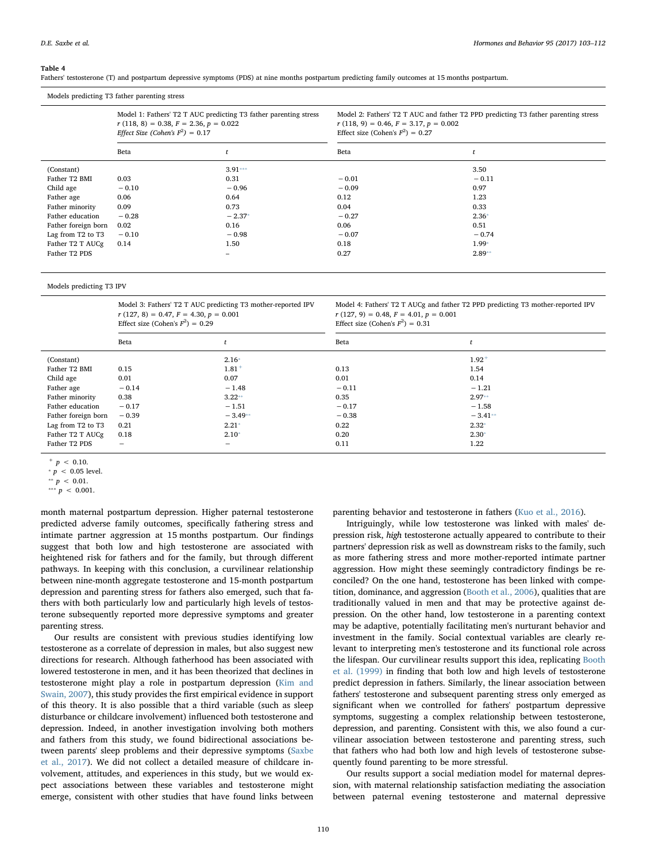#### <span id="page-7-0"></span>Table 4

Fathers' testosterone (T) and postpartum depressive symptoms (PDS) at nine months postpartum predicting family outcomes at 15 months postpartum.

| Models predicting T3 father parenting stress |         |                                                                                                                                                    |                                                                                |                                                                                    |
|----------------------------------------------|---------|----------------------------------------------------------------------------------------------------------------------------------------------------|--------------------------------------------------------------------------------|------------------------------------------------------------------------------------|
|                                              |         | Model 1: Fathers' T2 T AUC predicting T3 father parenting stress<br>$r(118, 8) = 0.38, F = 2.36, p = 0.022$<br>Effect Size (Cohen's $F^2$ ) = 0.17 | $r(118, 9) = 0.46, F = 3.17, p = 0.002$<br>Effect size (Cohen's $F^2$ ) = 0.27 | Model 2: Fathers' T2 T AUC and father T2 PPD predicting T3 father parenting stress |
|                                              | Beta    |                                                                                                                                                    | Beta                                                                           |                                                                                    |
| (Constant)                                   |         | $3.91***$                                                                                                                                          |                                                                                | 3.50                                                                               |
| Father T2 BMI                                | 0.03    | 0.31                                                                                                                                               | $-0.01$                                                                        | $-0.11$                                                                            |
| Child age                                    | $-0.10$ | $-0.96$                                                                                                                                            | $-0.09$                                                                        | 0.97                                                                               |
| Father age                                   | 0.06    | 0.64                                                                                                                                               | 0.12                                                                           | 1.23                                                                               |
| Father minority                              | 0.09    | 0.73                                                                                                                                               | 0.04                                                                           | 0.33                                                                               |
| Father education                             | $-0.28$ | $-2.37*$                                                                                                                                           | $-0.27$                                                                        | $2.36*$                                                                            |
| Father foreign born                          | 0.02    | 0.16                                                                                                                                               | 0.06                                                                           | 0.51                                                                               |
| Lag from T2 to T3                            | $-0.10$ | $-0.98$                                                                                                                                            | $-0.07$                                                                        | $-0.74$                                                                            |
| Father T2 T AUCg                             | 0.14    | 1.50                                                                                                                                               | 0.18                                                                           | $1.99*$                                                                            |
| Father T2 PDS                                |         | $\overline{\phantom{0}}$                                                                                                                           | 0.27                                                                           | $2.89**$                                                                           |

Models predicting T3 IPV

| Model 3: Fathers' T2 T AUC predicting T3 mother-reported IPV |  |
|--------------------------------------------------------------|--|
| $r(127, 8) = 0.47, F = 4.30, p = 0.001$                      |  |
| Effect size (Cohen's $F^2$ ) = 0.29                          |  |

|                                         | Model 4: Fathers' T2 T AUCg and father T2 PPD predicting T3 mother-reported IPV |
|-----------------------------------------|---------------------------------------------------------------------------------|
| $r(127, 9) = 0.48, F = 4.01, p = 0.001$ |                                                                                 |
| Effect size (Cohen's $F^2$ ) = 0.31     |                                                                                 |

|                     | $m \sim 0.00$            |                          | $msc$ . $msc$ , $msc$ . $n \rightarrow \infty$ . |            |
|---------------------|--------------------------|--------------------------|--------------------------------------------------|------------|
|                     | Beta                     |                          | Beta                                             |            |
| (Constant)          |                          | $2.16*$                  |                                                  | $1.92^{+}$ |
| Father T2 BMI       | 0.15                     | $1.81$ <sup>+</sup>      | 0.13                                             | 1.54       |
| Child age           | 0.01                     | 0.07                     | 0.01                                             | 0.14       |
| Father age          | $-0.14$                  | $-1.48$                  | $-0.11$                                          | $-1.21$    |
| Father minority     | 0.38                     | $3.22**$                 | 0.35                                             | $2.97**$   |
| Father education    | $-0.17$                  | $-1.51$                  | $-0.17$                                          | $-1.58$    |
| Father foreign born | $-0.39$                  | $-3.49**$                | $-0.38$                                          | $-3.41**$  |
| Lag from T2 to T3   | 0.21                     | $2.21*$                  | 0.22                                             | $2.32*$    |
| Father T2 T AUCg    | 0.18                     | $2.10*$                  | 0.20                                             | $2.30*$    |
| Father T2 PDS       | $\overline{\phantom{0}}$ | $\overline{\phantom{0}}$ | 0.11                                             | 1.22       |
|                     |                          |                          |                                                  |            |

<span id="page-7-4"></span> $+ p < 0.10.$ 

<span id="page-7-1"></span>\*\*\* $p < 0.001$ .

month maternal postpartum depression. Higher paternal testosterone predicted adverse family outcomes, specifically fathering stress and intimate partner aggression at 15 months postpartum. Our findings suggest that both low and high testosterone are associated with heightened risk for fathers and for the family, but through different pathways. In keeping with this conclusion, a curvilinear relationship between nine-month aggregate testosterone and 15-month postpartum depression and parenting stress for fathers also emerged, such that fathers with both particularly low and particularly high levels of testosterone subsequently reported more depressive symptoms and greater parenting stress.

Our results are consistent with previous studies identifying low testosterone as a correlate of depression in males, but also suggest new directions for research. Although fatherhood has been associated with lowered testosterone in men, and it has been theorized that declines in testosterone might play a role in postpartum depression ([Kim and](#page-8-2) [Swain, 2007](#page-8-2)), this study provides the first empirical evidence in support of this theory. It is also possible that a third variable (such as sleep disturbance or childcare involvement) influenced both testosterone and depression. Indeed, in another investigation involving both mothers and fathers from this study, we found bidirectional associations between parents' sleep problems and their depressive symptoms [\(Saxbe](#page-9-13) [et al., 2017](#page-9-13)). We did not collect a detailed measure of childcare involvement, attitudes, and experiences in this study, but we would expect associations between these variables and testosterone might emerge, consistent with other studies that have found links between

parenting behavior and testosterone in fathers [\(Kuo et al., 2016](#page-8-23)).

Intriguingly, while low testosterone was linked with males' depression risk, high testosterone actually appeared to contribute to their partners' depression risk as well as downstream risks to the family, such as more fathering stress and more mother-reported intimate partner aggression. How might these seemingly contradictory findings be reconciled? On the one hand, testosterone has been linked with competition, dominance, and aggression ([Booth et al., 2006\)](#page-8-24), qualities that are traditionally valued in men and that may be protective against depression. On the other hand, low testosterone in a parenting context may be adaptive, potentially facilitating men's nurturant behavior and investment in the family. Social contextual variables are clearly relevant to interpreting men's testosterone and its functional role across the lifespan. Our curvilinear results support this idea, replicating [Booth](#page-8-10) [et al. \(1999\)](#page-8-10) in finding that both low and high levels of testosterone predict depression in fathers. Similarly, the linear association between fathers' testosterone and subsequent parenting stress only emerged as significant when we controlled for fathers' postpartum depressive symptoms, suggesting a complex relationship between testosterone, depression, and parenting. Consistent with this, we also found a curvilinear association between testosterone and parenting stress, such that fathers who had both low and high levels of testosterone subsequently found parenting to be more stressful.

Our results support a social mediation model for maternal depression, with maternal relationship satisfaction mediating the association between paternal evening testosterone and maternal depressive

<span id="page-7-2"></span> $p < 0.05$  level.

<span id="page-7-3"></span><sup>\*\*</sup>  $p$  < 0.01.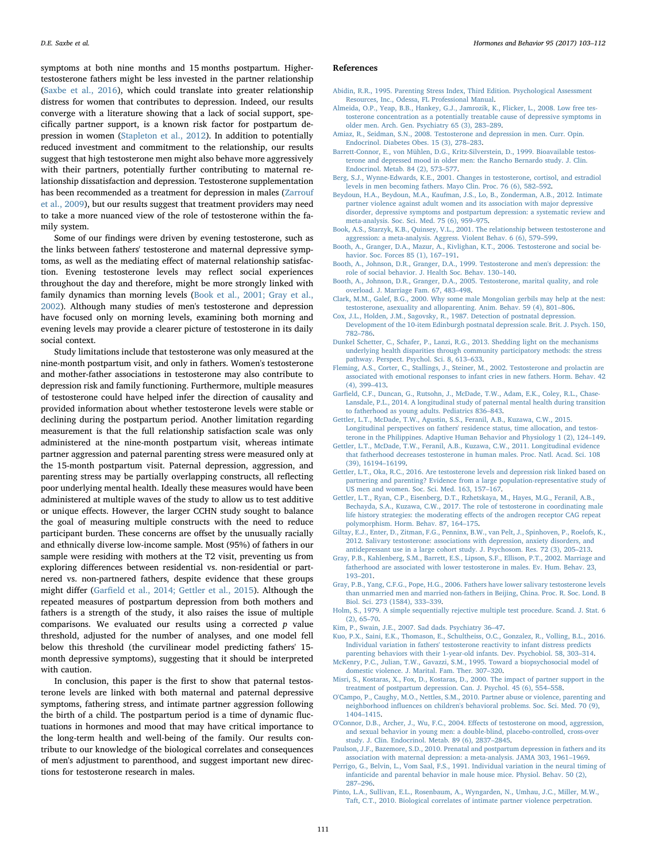symptoms at both nine months and 15 months postpartum. Highertestosterone fathers might be less invested in the partner relationship ([Saxbe et al., 2016](#page-9-6)), which could translate into greater relationship distress for women that contributes to depression. Indeed, our results converge with a literature showing that a lack of social support, specifically partner support, is a known risk factor for postpartum depression in women ([Stapleton et al., 2012](#page-9-14)). In addition to potentially reduced investment and commitment to the relationship, our results suggest that high testosterone men might also behave more aggressively with their partners, potentially further contributing to maternal relationship dissatisfaction and depression. Testosterone supplementation has been recommended as a treatment for depression in males [\(Zarrouf](#page-9-3) [et al., 2009](#page-9-3)), but our results suggest that treatment providers may need to take a more nuanced view of the role of testosterone within the family system.

Some of our findings were driven by evening testosterone, such as the links between fathers' testosterone and maternal depressive symptoms, as well as the mediating effect of maternal relationship satisfaction. Evening testosterone levels may reflect social experiences throughout the day and therefore, might be more strongly linked with family dynamics than morning levels ([Book et al., 2001; Gray et al.,](#page-8-17) [2002\)](#page-8-17). Although many studies of men's testosterone and depression have focused only on morning levels, examining both morning and evening levels may provide a clearer picture of testosterone in its daily social context.

Study limitations include that testosterone was only measured at the nine-month postpartum visit, and only in fathers. Women's testosterone and mother-father associations in testosterone may also contribute to depression risk and family functioning. Furthermore, multiple measures of testosterone could have helped infer the direction of causality and provided information about whether testosterone levels were stable or declining during the postpartum period. Another limitation regarding measurement is that the full relationship satisfaction scale was only administered at the nine-month postpartum visit, whereas intimate partner aggression and paternal parenting stress were measured only at the 15-month postpartum visit. Paternal depression, aggression, and parenting stress may be partially overlapping constructs, all reflecting poor underlying mental health. Ideally these measures would have been administered at multiple waves of the study to allow us to test additive or unique effects. However, the larger CCHN study sought to balance the goal of measuring multiple constructs with the need to reduce participant burden. These concerns are offset by the unusually racially and ethnically diverse low-income sample. Most (95%) of fathers in our sample were residing with mothers at the T2 visit, preventing us from exploring differences between residential vs. non-residential or partnered vs. non-partnered fathers, despite evidence that these groups might differ (Garfi[eld et al., 2014; Gettler et al., 2015\)](#page-8-1). Although the repeated measures of postpartum depression from both mothers and fathers is a strength of the study, it also raises the issue of multiple comparisons. We evaluated our results using a corrected  $p$  value threshold, adjusted for the number of analyses, and one model fell below this threshold (the curvilinear model predicting fathers' 15 month depressive symptoms), suggesting that it should be interpreted with caution.

In conclusion, this paper is the first to show that paternal testosterone levels are linked with both maternal and paternal depressive symptoms, fathering stress, and intimate partner aggression following the birth of a child. The postpartum period is a time of dynamic fluctuations in hormones and mood that may have critical importance to the long-term health and well-being of the family. Our results contribute to our knowledge of the biological correlates and consequences of men's adjustment to parenthood, and suggest important new directions for testosterone research in males.

#### D.E. Saxbe et al. *Hormones and Behavior 95 (2017) 103–112*

#### References

- <span id="page-8-20"></span>[Abidin, R.R., 1995. Parenting Stress Index, Third Edition. Psychological Assessment](http://refhub.elsevier.com/S0018-506X(17)30009-0/rf0005) [Resources, Inc., Odessa, FL Professional Manual.](http://refhub.elsevier.com/S0018-506X(17)30009-0/rf0005)
- <span id="page-8-4"></span>[Almeida, O.P., Yeap, B.B., Hankey, G.J., Jamrozik, K., Flicker, L., 2008. Low free tes](http://refhub.elsevier.com/S0018-506X(17)30009-0/rf0010)[tosterone concentration as a potentially treatable cause of depressive symptoms in](http://refhub.elsevier.com/S0018-506X(17)30009-0/rf0010) [older men. Arch. Gen. Psychiatry 65 \(3\), 283](http://refhub.elsevier.com/S0018-506X(17)30009-0/rf0010)–289.
- <span id="page-8-3"></span>[Amiaz, R., Seidman, S.N., 2008. Testosterone and depression in men. Curr. Opin.](http://refhub.elsevier.com/S0018-506X(17)30009-0/rf0015) [Endocrinol. Diabetes Obes. 15 \(3\), 278](http://refhub.elsevier.com/S0018-506X(17)30009-0/rf0015)–283.
- [Barrett-Connor, E., von Mühlen, D.G., Kritz-Silverstein, D., 1999. Bioavailable testos](http://refhub.elsevier.com/S0018-506X(17)30009-0/rf0020)[terone and depressed mood in older men: the Rancho Bernardo study. J. Clin.](http://refhub.elsevier.com/S0018-506X(17)30009-0/rf0020) [Endocrinol. Metab. 84 \(2\), 573](http://refhub.elsevier.com/S0018-506X(17)30009-0/rf0020)–577.
- <span id="page-8-6"></span>[Berg, S.J., Wynne-Edwards, K.E., 2001. Changes in testosterone, cortisol, and estradiol](http://refhub.elsevier.com/S0018-506X(17)30009-0/rf0025) [levels in men becoming fathers. Mayo Clin. Proc. 76 \(6\), 582](http://refhub.elsevier.com/S0018-506X(17)30009-0/rf0025)–592.
- <span id="page-8-16"></span>[Beydoun, H.A., Beydoun, M.A., Kaufman, J.S., Lo, B., Zonderman, A.B., 2012. Intimate](http://refhub.elsevier.com/S0018-506X(17)30009-0/rf0030) [partner violence against adult women and its association with major depressive](http://refhub.elsevier.com/S0018-506X(17)30009-0/rf0030) [disorder, depressive symptoms and postpartum depression: a systematic review and](http://refhub.elsevier.com/S0018-506X(17)30009-0/rf0030) [meta-analysis. Soc. Sci. Med. 75 \(6\), 959](http://refhub.elsevier.com/S0018-506X(17)30009-0/rf0030)–975.
- <span id="page-8-17"></span>[Book, A.S., Starzyk, K.B., Quinsey, V.L., 2001. The relationship between testosterone and](http://refhub.elsevier.com/S0018-506X(17)30009-0/rf0035) [aggression: a meta-analysis. Aggress. Violent Behav. 6 \(6\), 579](http://refhub.elsevier.com/S0018-506X(17)30009-0/rf0035)–599.
- <span id="page-8-24"></span>[Booth, A., Granger, D.A., Mazur, A., Kivlighan, K.T., 2006. Testosterone and social be](http://refhub.elsevier.com/S0018-506X(17)30009-0/rf0040)[havior. Soc. Forces 85 \(1\), 167](http://refhub.elsevier.com/S0018-506X(17)30009-0/rf0040)–191.
- <span id="page-8-10"></span>[Booth, A., Johnson, D.R., Granger, D.A., 1999. Testosterone and men's depression: the](http://refhub.elsevier.com/S0018-506X(17)30009-0/rf0045) [role of social behavior. J. Health Soc. Behav. 130](http://refhub.elsevier.com/S0018-506X(17)30009-0/rf0045)–140.
- <span id="page-8-11"></span>[Booth, A., Johnson, D.R., Granger, D.A., 2005. Testosterone, marital quality, and role](http://refhub.elsevier.com/S0018-506X(17)30009-0/rf0050) [overload. J. Marriage Fam. 67, 483](http://refhub.elsevier.com/S0018-506X(17)30009-0/rf0050)–498.
- <span id="page-8-7"></span>[Clark, M.M., Galef, B.G., 2000. Why some male Mongolian gerbils may help at the nest:](http://refhub.elsevier.com/S0018-506X(17)30009-0/rf0055) [testosterone, asexuality and alloparenting. Anim. Behav. 59 \(4\), 801](http://refhub.elsevier.com/S0018-506X(17)30009-0/rf0055)–806.
- <span id="page-8-19"></span>[Cox, J.L., Holden, J.M., Sagovsky, R., 1987. Detection of postnatal depression.](http://refhub.elsevier.com/S0018-506X(17)30009-0/rf0060) [Development of the 10-item Edinburgh postnatal depression scale. Brit. J. Psych. 150,](http://refhub.elsevier.com/S0018-506X(17)30009-0/rf0060) 782–[786](http://refhub.elsevier.com/S0018-506X(17)30009-0/rf0060).
- <span id="page-8-18"></span>[Dunkel Schetter, C., Schafer, P., Lanzi, R.G., 2013. Shedding light on the mechanisms](http://refhub.elsevier.com/S0018-506X(17)30009-0/rf0065) [underlying health disparities through community participatory methods: the stress](http://refhub.elsevier.com/S0018-506X(17)30009-0/rf0065) [pathway. Perspect. Psychol. Sci. 8, 613](http://refhub.elsevier.com/S0018-506X(17)30009-0/rf0065)–633.
- <span id="page-8-8"></span>[Fleming, A.S., Corter, C., Stallings, J., Steiner, M., 2002. Testosterone and prolactin are](http://refhub.elsevier.com/S0018-506X(17)30009-0/rf0070) [associated with emotional responses to infant cries in new fathers. Horm. Behav. 42](http://refhub.elsevier.com/S0018-506X(17)30009-0/rf0070) [\(4\), 399](http://refhub.elsevier.com/S0018-506X(17)30009-0/rf0070)–413.
- <span id="page-8-1"></span>Garfi[eld, C.F., Duncan, G., Rutsohn, J., McDade, T.W., Adam, E.K., Coley, R.L., Chase-](http://refhub.elsevier.com/S0018-506X(17)30009-0/rf0075)[Lansdale, P.L., 2014. A longitudinal study of paternal mental health during transition](http://refhub.elsevier.com/S0018-506X(17)30009-0/rf0075) [to fatherhood as young adults. Pediatrics 836](http://refhub.elsevier.com/S0018-506X(17)30009-0/rf0075)–843.
- [Gettler, L.T., McDade, T.W., Agustin, S.S., Feranil, A.B., Kuzawa, C.W., 2015.](http://refhub.elsevier.com/S0018-506X(17)30009-0/rf0080) [Longitudinal perspectives on fathers' residence status, time allocation, and testos](http://refhub.elsevier.com/S0018-506X(17)30009-0/rf0080)[terone in the Philippines. Adaptive Human Behavior and Physiology 1 \(2\), 124](http://refhub.elsevier.com/S0018-506X(17)30009-0/rf0080)–149.
- <span id="page-8-0"></span>[Gettler, L.T., McDade, T.W., Feranil, A.B., Kuzawa, C.W., 2011. Longitudinal evidence](http://refhub.elsevier.com/S0018-506X(17)30009-0/rf0085) [that fatherhood decreases testosterone in human males. Proc. Natl. Acad. Sci. 108](http://refhub.elsevier.com/S0018-506X(17)30009-0/rf0085) [\(39\), 16194](http://refhub.elsevier.com/S0018-506X(17)30009-0/rf0085)–16199.
- <span id="page-8-13"></span>[Gettler, L.T., Oka, R.C., 2016. Are testosterone levels and depression risk linked based on](http://refhub.elsevier.com/S0018-506X(17)30009-0/rf0090) [partnering and parenting? Evidence from a large population-representative study of](http://refhub.elsevier.com/S0018-506X(17)30009-0/rf0090) [US men and women. Soc. Sci. Med. 163, 157](http://refhub.elsevier.com/S0018-506X(17)30009-0/rf0090)–167.
- <span id="page-8-12"></span>[Gettler, L.T., Ryan, C.P., Eisenberg, D.T., Rzhetskaya, M., Hayes, M.G., Feranil, A.B.,](http://refhub.elsevier.com/S0018-506X(17)30009-0/rf0095) Bechayda, [S.A., Kuzawa, C.W., 2017. The role of testosterone in coordinating male](http://refhub.elsevier.com/S0018-506X(17)30009-0/rf0095) life history strategies: the moderating eff[ects of the androgen receptor CAG repeat](http://refhub.elsevier.com/S0018-506X(17)30009-0/rf0095) [polymorphism. Horm. Behav. 87, 164](http://refhub.elsevier.com/S0018-506X(17)30009-0/rf0095)–175.
- <span id="page-8-5"></span>[Giltay, E.J., Enter, D., Zitman, F.G., Penninx, B.W., van Pelt, J., Spinhoven, P., Roelofs, K.,](http://refhub.elsevier.com/S0018-506X(17)30009-0/rf0100) [2012. Salivary testosterone: associations with depression, anxiety disorders, and](http://refhub.elsevier.com/S0018-506X(17)30009-0/rf0100) [antidepressant use in a large cohort study. J. Psychosom. Res. 72 \(3\), 205](http://refhub.elsevier.com/S0018-506X(17)30009-0/rf0100)–213.
- <span id="page-8-9"></span>[Gray, P.B., Kahlenberg, S.M., Barrett, E.S., Lipson, S.F., Ellison, P.T., 2002. Marriage and](http://refhub.elsevier.com/S0018-506X(17)30009-0/rf0105) [fatherhood are associated with lower testosterone in males. Ev. Hum. Behav. 23,](http://refhub.elsevier.com/S0018-506X(17)30009-0/rf0105) 193–[201](http://refhub.elsevier.com/S0018-506X(17)30009-0/rf0105).
- [Gray, P.B., Yang, C.F.G., Pope, H.G., 2006. Fathers have lower salivary testosterone levels](http://refhub.elsevier.com/S0018-506X(17)30009-0/rf0110) [than unmarried men and married non-fathers in Beijing, China. Proc. R. Soc. Lond. B](http://refhub.elsevier.com/S0018-506X(17)30009-0/rf0110) [Biol. Sci. 273 \(1584\), 333](http://refhub.elsevier.com/S0018-506X(17)30009-0/rf0110)–339.
- <span id="page-8-22"></span>[Holm, S., 1979. A simple sequentially rejective multiple test procedure. Scand. J. Stat. 6](http://refhub.elsevier.com/S0018-506X(17)30009-0/rf0115) [\(2\), 65](http://refhub.elsevier.com/S0018-506X(17)30009-0/rf0115)–70.
- <span id="page-8-2"></span>[Kim, P., Swain, J.E., 2007. Sad dads. Psychiatry 36](http://refhub.elsevier.com/S0018-506X(17)30009-0/rf0120)–47.
- <span id="page-8-23"></span>[Kuo, P.X., Saini, E.K., Thomason, E., Schultheiss, O.C., Gonzalez, R., Volling, B.L., 2016.](http://refhub.elsevier.com/S0018-506X(17)30009-0/rf0125) [Individual variation in fathers' testosterone reactivity to infant distress predicts](http://refhub.elsevier.com/S0018-506X(17)30009-0/rf0125) [parenting behaviors with their 1-year-old infants. Dev. Psychobiol. 58, 303](http://refhub.elsevier.com/S0018-506X(17)30009-0/rf0125)–314.
- <span id="page-8-15"></span>[McKenry, P.C., Julian, T.W., Gavazzi, S.M., 1995. Toward a biopsychosocial model of](http://refhub.elsevier.com/S0018-506X(17)30009-0/rf0130) [domestic violence. J. Marital. Fam. Ther. 307](http://refhub.elsevier.com/S0018-506X(17)30009-0/rf0130)–320.
- <span id="page-8-14"></span>[Misri, S., Kostaras, X., Fox, D., Kostaras, D., 2000. The impact of partner support in the](http://refhub.elsevier.com/S0018-506X(17)30009-0/rf0135) [treatment of postpartum depression. Can. J. Psychol. 45 \(6\), 554](http://refhub.elsevier.com/S0018-506X(17)30009-0/rf0135)–558.
- <span id="page-8-21"></span>[O'Campo, P., Caughy, M.O., Nettles, S.M., 2010. Partner abuse or violence, parenting and](http://refhub.elsevier.com/S0018-506X(17)30009-0/rf0140) neighborhood infl[uences on children's behavioral problems. Soc. Sci. Med. 70 \(9\),](http://refhub.elsevier.com/S0018-506X(17)30009-0/rf0140) 1404–[1415](http://refhub.elsevier.com/S0018-506X(17)30009-0/rf0140).
- [O'Connor, D.B., Archer, J., Wu, F.C., 2004. E](http://refhub.elsevier.com/S0018-506X(17)30009-0/rf0145)ffects of testosterone on mood, aggression, [and sexual behavior in young men: a double-blind, placebo-controlled, cross-over](http://refhub.elsevier.com/S0018-506X(17)30009-0/rf0145) [study. J. Clin. Endocrinol. Metab. 89 \(6\), 2837](http://refhub.elsevier.com/S0018-506X(17)30009-0/rf0145)–2845.
- [Paulson, J.F., Bazemore, S.D., 2010. Prenatal and postpartum depression in fathers and its](http://refhub.elsevier.com/S0018-506X(17)30009-0/rf0150) [association with maternal depression: a meta-analysis. JAMA 303, 1961](http://refhub.elsevier.com/S0018-506X(17)30009-0/rf0150)–1969.
- [Perrigo, G., Belvin, L., Vom Saal, F.S., 1991. Individual variation in the neural timing of](http://refhub.elsevier.com/S0018-506X(17)30009-0/rf0155) [infanticide and parental behavior in male house mice. Physiol. Behav. 50 \(2\),](http://refhub.elsevier.com/S0018-506X(17)30009-0/rf0155) 287–[296](http://refhub.elsevier.com/S0018-506X(17)30009-0/rf0155).
- [Pinto, L.A., Sullivan, E.L., Rosenbaum, A., Wyngarden, N., Umhau, J.C., Miller, M.W.,](http://refhub.elsevier.com/S0018-506X(17)30009-0/rf0160) [Taft, C.T., 2010. Biological correlates of intimate partner violence perpetration.](http://refhub.elsevier.com/S0018-506X(17)30009-0/rf0160)